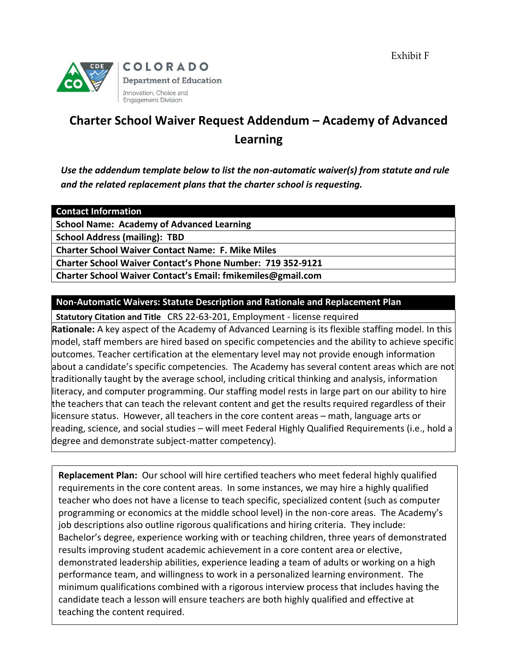Exhibit F



# **Charter School Waiver Request Addendum – Academy of Advanced Learning**

*Use the addendum template below to list the non-automatic waiver(s) from statute and rule and the related replacement plans that the charter school is requesting.*

## **Contact Information**

**School Name: Academy of Advanced Learning**

**School Address (mailing): TBD**

**Charter School Waiver Contact Name: F. Mike Miles**

**Charter School Waiver Contact's Phone Number: 719 352-9121**

**Charter School Waiver Contact's Email[: fmikemiles@gmail.com](mailto:fmikemiles@gmail.com)**

## **Non-Automatic Waivers: Statute Description and Rationale and Replacement Plan**

**Statutory Citation and Title** CRS 22-63-201, Employment - license required

**Rationale:** A key aspect of the Academy of Advanced Learning is its flexible staffing model. In this model, staff members are hired based on specific competencies and the ability to achieve specific outcomes. Teacher certification at the elementary level may not provide enough information about a candidate's specific competencies. The Academy has several content areas which are not traditionally taught by the average school, including critical thinking and analysis, information literacy, and computer programming. Our staffing model rests in large part on our ability to hire the teachers that can teach the relevant content and get the results required regardless of their licensure status. However, all teachers in the core content areas – math, language arts or reading, science, and social studies – will meet Federal Highly Qualified Requirements (i.e., hold a degree and demonstrate subject-matter competency).

**Replacement Plan:** Our school will hire certified teachers who meet federal highly qualified requirements in the core content areas. In some instances, we may hire a highly qualified teacher who does not have a license to teach specific, specialized content (such as computer programming or economics at the middle school level) in the non-core areas. The Academy's job descriptions also outline rigorous qualifications and hiring criteria. They include: Bachelor's degree, experience working with or teaching children, three years of demonstrated results improving student academic achievement in a core content area or elective, demonstrated leadership abilities, experience leading a team of adults or working on a high performance team, and willingness to work in a personalized learning environment. The minimum qualifications combined with a rigorous interview process that includes having the candidate teach a lesson will ensure teachers are both highly qualified and effective at teaching the content required.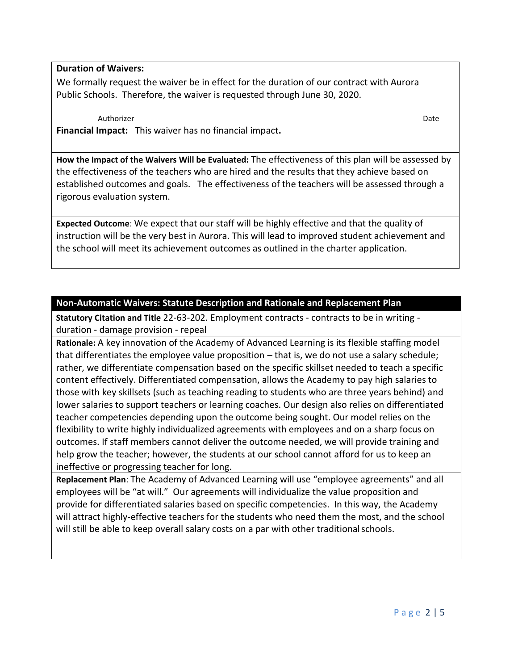## **Duration of Waivers:**

We formally request the waiver be in effect for the duration of our contract with Aurora Public Schools. Therefore, the waiver is requested through June 30, 2020.

#### Authorizer Date

**Financial Impact:** This waiver has no financial impact**.**

**How the Impact of the Waivers Will be Evaluated:** The effectiveness of this plan will be assessed by the effectiveness of the teachers who are hired and the results that they achieve based on established outcomes and goals. The effectiveness of the teachers will be assessed through a rigorous evaluation system.

**Expected Outcome**: We expect that our staff will be highly effective and that the quality of instruction will be the very best in Aurora. This will lead to improved student achievement and the school will meet its achievement outcomes as outlined in the charter application.

## **Non-Automatic Waivers: Statute Description and Rationale and Replacement Plan**

**Statutory Citation and Title** 22-63-202. Employment contracts - contracts to be in writing duration - damage provision - repeal

**Rationale:** A key innovation of the Academy of Advanced Learning is its flexible staffing model that differentiates the employee value proposition – that is, we do not use a salary schedule; rather, we differentiate compensation based on the specific skillset needed to teach a specific content effectively. Differentiated compensation, allows the Academy to pay high salaries to those with key skillsets (such as teaching reading to students who are three years behind) and lower salaries to support teachers or learning coaches. Our design also relies on differentiated teacher competencies depending upon the outcome being sought. Our model relies on the flexibility to write highly individualized agreements with employees and on a sharp focus on outcomes. If staff members cannot deliver the outcome needed, we will provide training and help grow the teacher; however, the students at our school cannot afford for us to keep an ineffective or progressing teacher for long.

**Replacement Plan**: The Academy of Advanced Learning will use "employee agreements" and all employees will be "at will." Our agreements will individualize the value proposition and provide for differentiated salaries based on specific competencies. In this way, the Academy will attract highly-effective teachers for the students who need them the most, and the school will still be able to keep overall salary costs on a par with other traditional schools.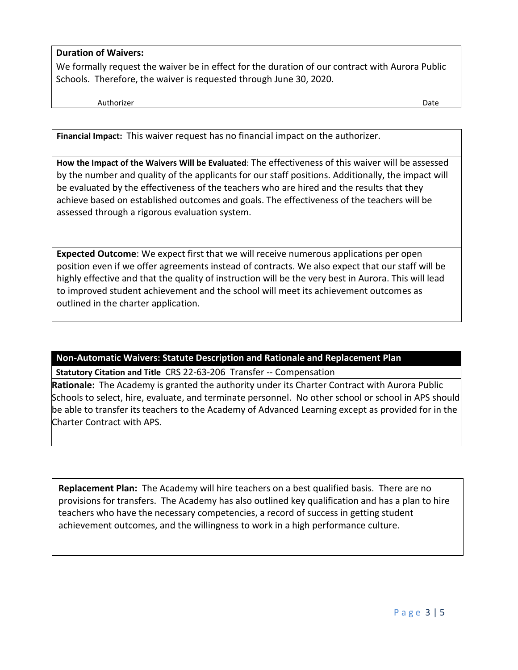## **Duration of Waivers:**

We formally request the waiver be in effect for the duration of our contract with Aurora Public Schools. Therefore, the waiver is requested through June 30, 2020.

Authorizer Date

**Financial Impact:** This waiver request has no financial impact on the authorizer.

**How the Impact of the Waivers Will be Evaluated**: The effectiveness of this waiver will be assessed by the number and quality of the applicants for our staff positions. Additionally, the impact will be evaluated by the effectiveness of the teachers who are hired and the results that they achieve based on established outcomes and goals. The effectiveness of the teachers will be assessed through a rigorous evaluation system.

**Expected Outcome**: We expect first that we will receive numerous applications per open position even if we offer agreements instead of contracts. We also expect that our staff will be highly effective and that the quality of instruction will be the very best in Aurora. This will lead to improved student achievement and the school will meet its achievement outcomes as outlined in the charter application.

**Non-Automatic Waivers: Statute Description and Rationale and Replacement Plan**

**Statutory Citation and Title** CRS 22-63-206 Transfer -- Compensation

**Rationale:** The Academy is granted the authority under its Charter Contract with Aurora Public Schools to select, hire, evaluate, and terminate personnel. No other school or school in APS should be able to transfer its teachers to the Academy of Advanced Learning except as provided for in the Charter Contract with APS.

**Replacement Plan:** The Academy will hire teachers on a best qualified basis. There are no provisions for transfers. The Academy has also outlined key qualification and has a plan to hire teachers who have the necessary competencies, a record of success in getting student achievement outcomes, and the willingness to work in a high performance culture.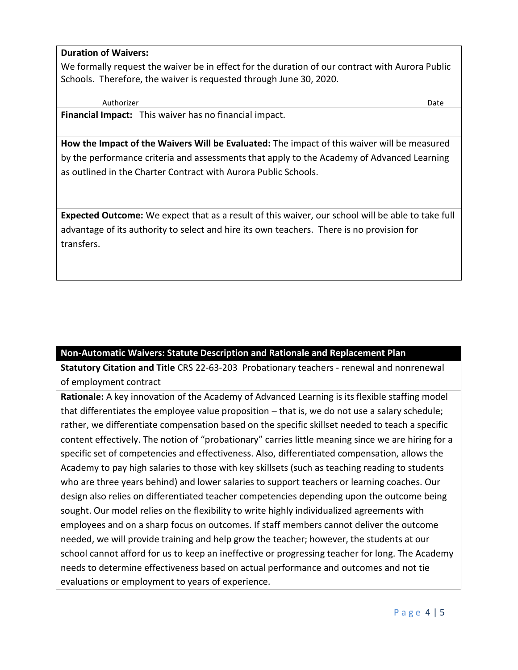## **Duration of Waivers:**

We formally request the waiver be in effect for the duration of our contract with Aurora Public Schools. Therefore, the waiver is requested through June 30, 2020.

Authorizer Date **Financial Impact:** This waiver has no financial impact.

**How the Impact of the Waivers Will be Evaluated:** The impact of this waiver will be measured by the performance criteria and assessments that apply to the Academy of Advanced Learning as outlined in the Charter Contract with Aurora Public Schools.

**Expected Outcome:** We expect that as a result of this waiver, our school will be able to take full advantage of its authority to select and hire its own teachers. There is no provision for transfers.

## **Non-Automatic Waivers: Statute Description and Rationale and Replacement Plan**

**Statutory Citation and Title** CRS 22-63-203 Probationary teachers - renewal and nonrenewal of employment contract

**Rationale:** A key innovation of the Academy of Advanced Learning is its flexible staffing model that differentiates the employee value proposition – that is, we do not use a salary schedule; rather, we differentiate compensation based on the specific skillset needed to teach a specific content effectively. The notion of "probationary" carries little meaning since we are hiring for a specific set of competencies and effectiveness. Also, differentiated compensation, allows the Academy to pay high salaries to those with key skillsets (such as teaching reading to students who are three years behind) and lower salaries to support teachers or learning coaches. Our design also relies on differentiated teacher competencies depending upon the outcome being sought. Our model relies on the flexibility to write highly individualized agreements with employees and on a sharp focus on outcomes. If staff members cannot deliver the outcome needed, we will provide training and help grow the teacher; however, the students at our school cannot afford for us to keep an ineffective or progressing teacher for long. The Academy needs to determine effectiveness based on actual performance and outcomes and not tie evaluations or employment to years of experience.